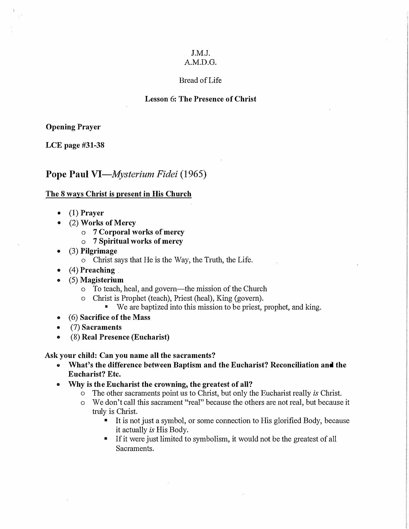# J.M.J.

# A.M.D.G.

### Bread of Life

#### Lesson 6: The Presence of Christ

#### **Opening Prayer**

**LCE page #31-38** 

# Pope Paul *VI-Mysterium Fidei* (1965)

#### **The 8 ways Christ is present in His Church**

- **• (1) Prayer**
- **• (2) Works of Mercy**
	- **o 7 Corporal works ofmercy**
	- **o 7 Spiritual works of mercy**
- **• (3) Pilgrimage**
	- o Christ says that He is the Way, the Truth, the Life.
- (4) Preaching
- **• (5) Magisterium**
	- o To teach, heal, and govern-the mission of the Church
	- o Christ is Prophet (teach), Priest (heal), King (govern).
		- We are baptized into this mission to be priest, prophet, and king.
- **• ( 6) Sacrifice of the Mass**
- **• (7) Sacraments**
- **• (8) Real Presence (Eucharist)**

#### **Ask your child: Can you name all the sacraments?**

- **• What's the difference between Baptism and the Eucharist? Reconciliation and the Eucharist? Etc.**
- **• Why is the Eucharist the crowning, the greatest of all?**
	- o The other sacraments point us to Christ, but only the Eucharist really *is* Christ.
	- o We don't call this sacrament "real" because the others are not real, but because it truly is Christ.
		- It is not just a symbol, or some connection to His glorified Body, because it actually *is* His Body.
		- **•** If it were just limited to symbolism, it would not be the greatest of all Sacraments.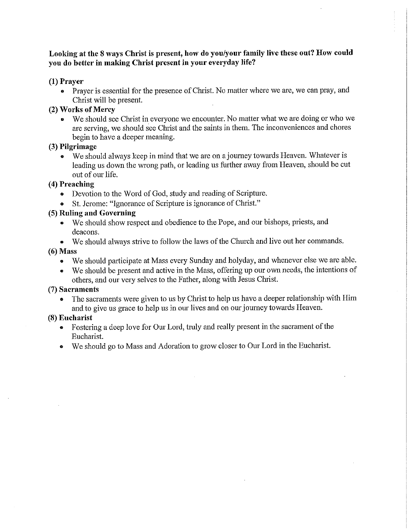### Looking at the 8 ways Christ is present, how do you/your family live these out? How could you do better in making Christ present in your everyday life?

### $(1)$  Prayer

• Prayer is essential for the presence of Christ. No matter where we are, we can pray, and Christ will be present.

#### (2) Works of Mercy

• We should see Christ in everyone we encounter. No matter what we are doing or who we are serving, we should see Christ and the saints in them. The inconveniences and chores begin to have a deeper meaning.

# (3) Pilgrimage

• We should always keep in mind that we are on a journey towards Heaven. Whatever is leading us down the wrong path, or leading us further away from Heaven, should be cut out of our life.

#### (4) Preaching

- Devotion to the Word of God, study and reading of Scripture.
- St. Jerome: "Ignorance of Scripture is ignorance of Christ."

# (5) Ruling and Governing

- We should show respect and obedience to the Pope, and our bishops, priests, and deacons.
- We should always strive to follow the laws of the Church and live out her commands.

### $(6)$  Mass

- We should participate at Mass every Sunday and holyday, and whenever else we are able.
- We should be present and active in the Mass, offering up our own needs, the intentions of others, and our very selves to the Father, along with Jesus Christ.

#### (7) Sacraments

The sacraments were given to us by Christ to help us have a deeper relationship with Him and to give us grace to help us in our lives and on our journey towards Heaven.

### (8) Eucharist

- Fostering a deep love for Our Lord, truly and really present in the sacrament of the  $\bullet$ Eucharist.
- We should go to Mass and Adoration to grow closer to Our Lord in the Eucharist.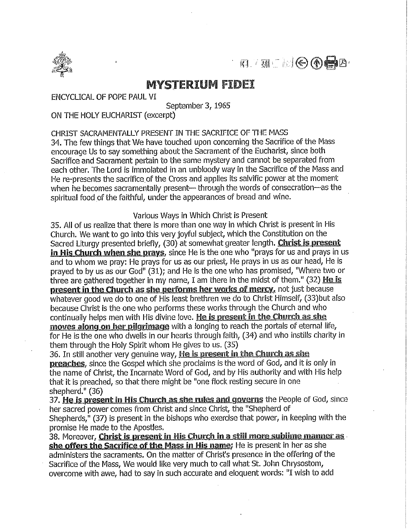

 $\blacksquare$ 

# **MYSTERIUM FIDEI**

ENCYCLICAL OF POPE PAUL VI

September 3, 1965

ON THE HOLY EUCHARIST (excerpt)

CHRIST SACRAMENTALLY PRESENT IN THE SACRIFICE OF THE MASS

34. The few things that We have touched upon concerning the Sacrifice of the Mass encourage Us to say something about the Sacrament of the Eucharist, since both Sacrifice and Sacrament pertain to the same mystery and cannot be separated from each other. The Lord is immolated in an unbloody way in the Sacrifice of the Mass and He re-presents the sacrifice of the Cross and applies its salvific power at the moment when he becomes sacramentally present- through the words of consecration-as the spiritual food of the faithful, under the appearances of bread and wine.

Various Ways in Which Christ is Present

35. All of us realize that there is more than one way in which Christ is present in His Church. We want to go into this very joyful subject, which the Constitution on the Sacred Liturgy presented briefly, (30) at somewhat greater length. Christ is present in His Church when she prays, since He is the one who "prays for us and prays in us and to whom we pray: He prays for us as our priest, He prays in us as our head, He is prayed to by us as our God" (31); and He is the one who has promised, "Where two or three are gathered together in my name, I am there in the midst of them." (32) He is present in the Church as she performs her works of mercy, not just because whatever good we do to one of His least brethren we do to Christ Himself, (33) but also because Christ is the one who performs these works through the Church and who continually helps men with His divine love. He is present in the Church as she moves along on her pilgrimage with a longing to reach the portals of eternal life, for He is the one who dwells in our hearts through faith, (34) and who instills charity in them through the Holy Spirit whom He gives to us. (35)

36. In still another very genuine way, He is present in the Church as she preaches, since the Gospel which she proclaims is the word of God, and it is only in the name of Christ, the Incarnate Word of God, and by His authority and with His help that it is preached, so that there might be "one flock resting secure in one shepherd." (36)

37. He is present in His Church as she rules and governs the People of God, since her sacred power comes from Christ and since Christ, the "Shepherd of Shepherds," (37) is present in the bishops who exercise that power, in keeping with the promise He made to the Apostles.

38. Moreover, Christ is present in His Church in a still more sublime manner as she offers the Sacrifice of the Mass in His name; He is present in her as she administers the sacraments. On the matter of Christ's presence in the offering of the Sacrifice of the Mass, We would like very much to call what St. John Chrysostom, overcome with awe, had to say in such accurate and eloquent words: "I wish to add